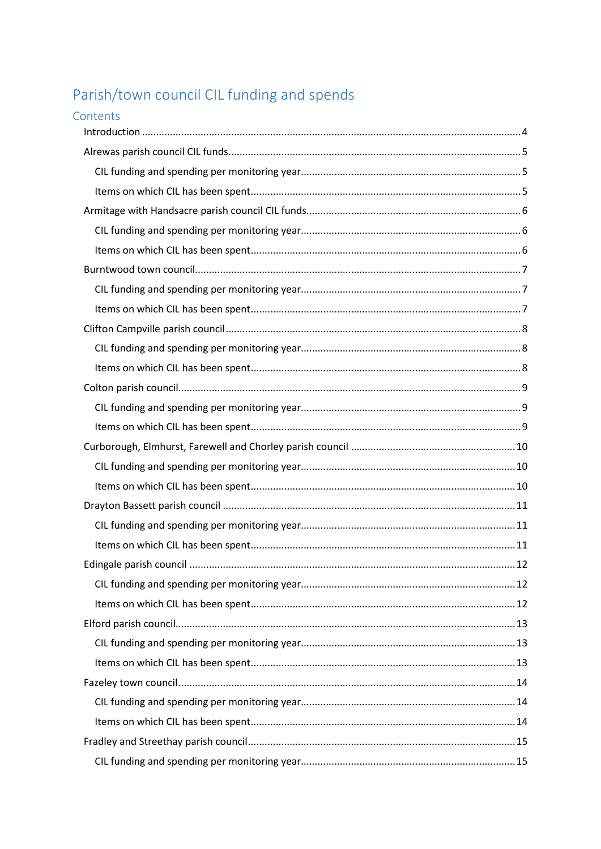# Parish/town council CIL funding and spends

| Contents |  |
|----------|--|
|          |  |
|          |  |
|          |  |
|          |  |
|          |  |
|          |  |
|          |  |
|          |  |
|          |  |
|          |  |
|          |  |
|          |  |
|          |  |
|          |  |
|          |  |
|          |  |
|          |  |
|          |  |
|          |  |
|          |  |
|          |  |
|          |  |
|          |  |
|          |  |
|          |  |
|          |  |
|          |  |
|          |  |
|          |  |
|          |  |
|          |  |
|          |  |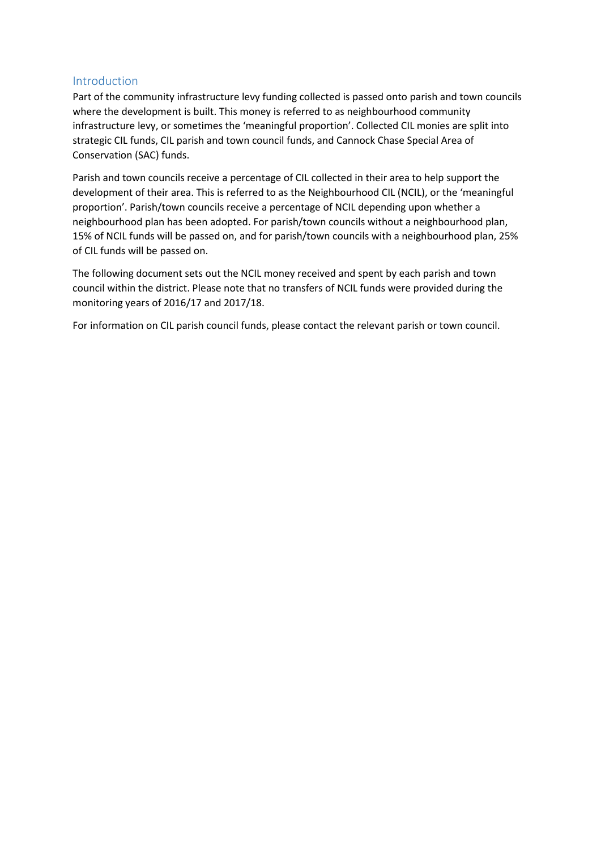#### <span id="page-3-0"></span>Introduction

Part of the community infrastructure levy funding collected is passed onto parish and town councils where the development is built. This money is referred to as neighbourhood community infrastructure levy, or sometimes the 'meaningful proportion'. Collected CIL monies are split into strategic CIL funds, CIL parish and town council funds, and Cannock Chase Special Area of Conservation (SAC) funds.

Parish and town councils receive a percentage of CIL collected in their area to help support the development of their area. This is referred to as the Neighbourhood CIL (NCIL), or the 'meaningful proportion'. Parish/town councils receive a percentage of NCIL depending upon whether a neighbourhood plan has been adopted. For parish/town councils without a neighbourhood plan, 15% of NCIL funds will be passed on, and for parish/town councils with a neighbourhood plan, 25% of CIL funds will be passed on.

The following document sets out the NCIL money received and spent by each parish and town council within the district. Please note that no transfers of NCIL funds were provided during the monitoring years of 2016/17 and 2017/18.

For information on CIL parish council funds, please contact the relevant parish or town council.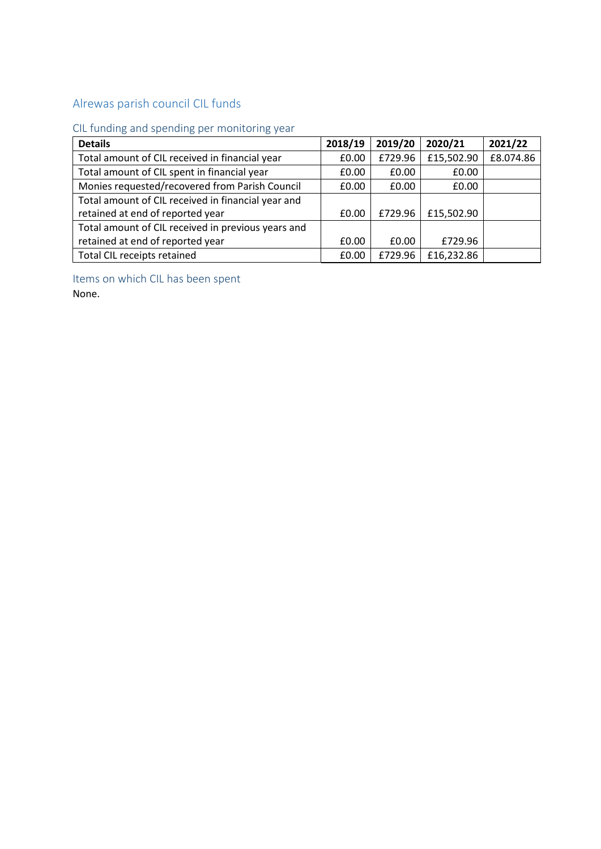## <span id="page-4-0"></span>Alrewas parish council CIL funds

### <span id="page-4-1"></span>CIL funding and spending per monitoring year

| <b>Details</b>                                     | 2018/19 | 2019/20 | 2020/21    | 2021/22   |
|----------------------------------------------------|---------|---------|------------|-----------|
| Total amount of CIL received in financial year     | £0.00   | £729.96 | £15,502.90 | £8.074.86 |
| Total amount of CIL spent in financial year        | £0.00   | £0.00   | £0.00      |           |
| Monies requested/recovered from Parish Council     | £0.00   | £0.00   | £0.00      |           |
| Total amount of CIL received in financial year and |         |         |            |           |
| retained at end of reported year                   | £0.00   | £729.96 | £15,502.90 |           |
| Total amount of CIL received in previous years and |         |         |            |           |
| retained at end of reported year                   | £0.00   | £0.00   | £729.96    |           |
| Total CIL receipts retained                        | £0.00   | £729.96 | £16,232.86 |           |

<span id="page-4-2"></span>Items on which CIL has been spent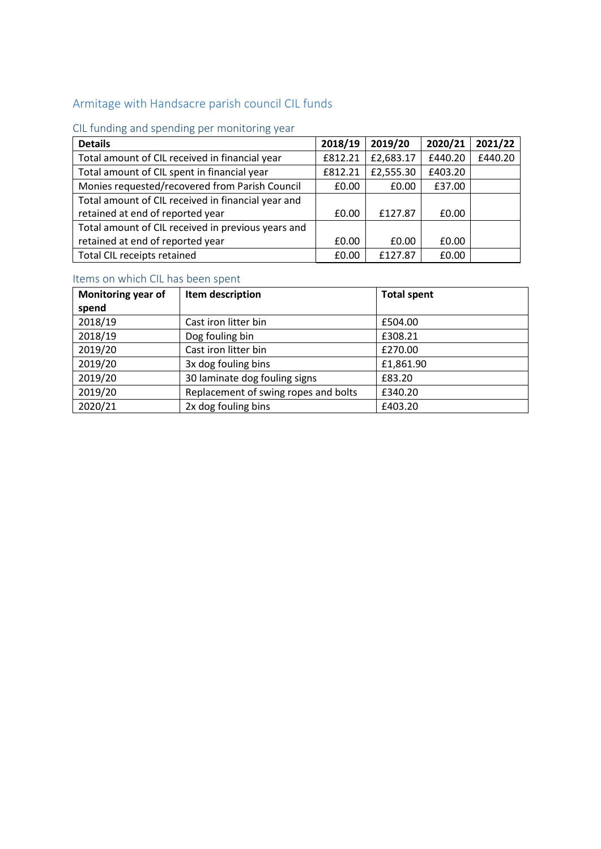## <span id="page-5-0"></span>Armitage with Handsacre parish council CIL funds

## <span id="page-5-1"></span>CIL funding and spending per monitoring year

| <b>Details</b>                                     | 2018/19 | 2019/20   | 2020/21 | 2021/22 |
|----------------------------------------------------|---------|-----------|---------|---------|
| Total amount of CIL received in financial year     | £812.21 | £2,683.17 | £440.20 | £440.20 |
| Total amount of CIL spent in financial year        | £812.21 | £2,555.30 | £403.20 |         |
| Monies requested/recovered from Parish Council     | £0.00   | £0.00     | £37.00  |         |
| Total amount of CIL received in financial year and |         |           |         |         |
| retained at end of reported year                   | £0.00   | £127.87   | £0.00   |         |
| Total amount of CIL received in previous years and |         |           |         |         |
| retained at end of reported year                   | £0.00   | £0.00     | £0.00   |         |
| Total CIL receipts retained                        | £0.00   | £127.87   | £0.00   |         |

<span id="page-5-2"></span>

| <b>Monitoring year of</b> | Item description                     | <b>Total spent</b> |
|---------------------------|--------------------------------------|--------------------|
| spend                     |                                      |                    |
| 2018/19                   | Cast iron litter bin                 | £504.00            |
| 2018/19                   | Dog fouling bin                      | £308.21            |
| 2019/20                   | Cast iron litter bin                 | £270.00            |
| 2019/20                   | 3x dog fouling bins                  | £1,861.90          |
| 2019/20                   | 30 laminate dog fouling signs        | £83.20             |
| 2019/20                   | Replacement of swing ropes and bolts | £340.20            |
| 2020/21                   | 2x dog fouling bins                  | £403.20            |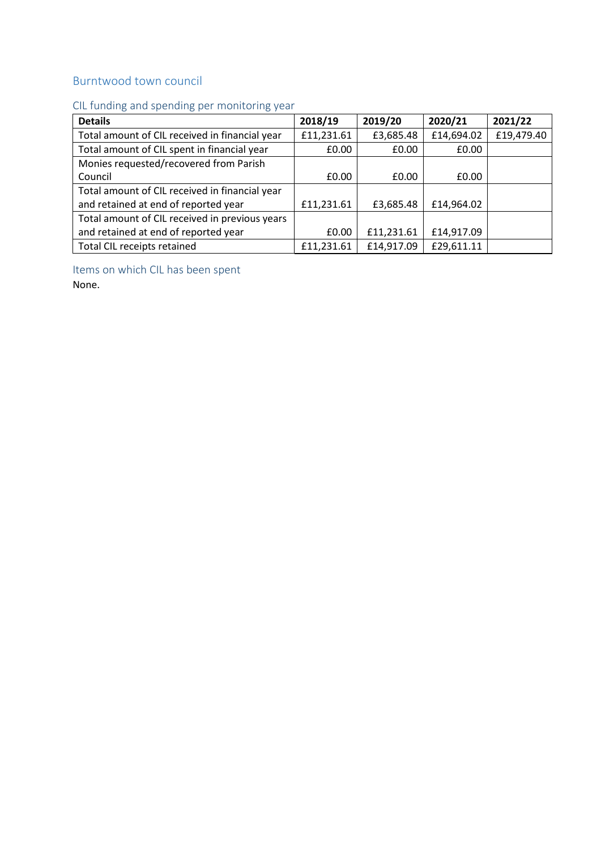### <span id="page-6-0"></span>Burntwood town council

### <span id="page-6-1"></span>CIL funding and spending per monitoring year

<span id="page-6-2"></span>

| <b>Details</b>                                 | 2018/19    | 2019/20    | 2020/21    | 2021/22    |
|------------------------------------------------|------------|------------|------------|------------|
| Total amount of CIL received in financial year | £11,231.61 | £3,685.48  | £14,694.02 | £19,479.40 |
| Total amount of CIL spent in financial year    | £0.00      | £0.00      | £0.00      |            |
| Monies requested/recovered from Parish         |            |            |            |            |
| Council                                        | £0.00      | £0.00      | £0.00      |            |
| Total amount of CIL received in financial year |            |            |            |            |
| and retained at end of reported year           | £11,231.61 | £3,685.48  | £14,964.02 |            |
| Total amount of CIL received in previous years |            |            |            |            |
| and retained at end of reported year           | £0.00      | £11,231.61 | £14,917.09 |            |
| Total CIL receipts retained                    | £11,231.61 | £14,917.09 | £29,611.11 |            |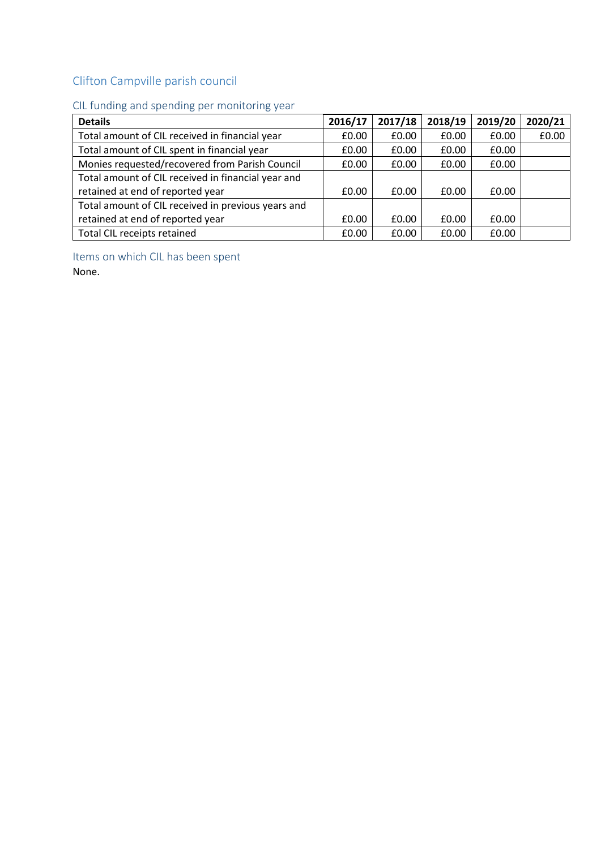# <span id="page-7-0"></span>Clifton Campville parish council

### <span id="page-7-1"></span>CIL funding and spending per monitoring year

| <b>Details</b>                                     | 2016/17 | 2017/18 | 2018/19 | 2019/20 | 2020/21 |
|----------------------------------------------------|---------|---------|---------|---------|---------|
| Total amount of CIL received in financial year     | £0.00   | £0.00   | £0.00   | £0.00   | £0.00   |
| Total amount of CIL spent in financial year        | £0.00   | £0.00   | £0.00   | £0.00   |         |
| Monies requested/recovered from Parish Council     | £0.00   | £0.00   | £0.00   | £0.00   |         |
| Total amount of CIL received in financial year and |         |         |         |         |         |
| retained at end of reported year                   | £0.00   | £0.00   | £0.00   | £0.00   |         |
| Total amount of CIL received in previous years and |         |         |         |         |         |
| retained at end of reported year                   | £0.00   | £0.00   | £0.00   | £0.00   |         |
| Total CIL receipts retained                        | £0.00   | £0.00   | £0.00   | £0.00   |         |

<span id="page-7-2"></span>Items on which CIL has been spent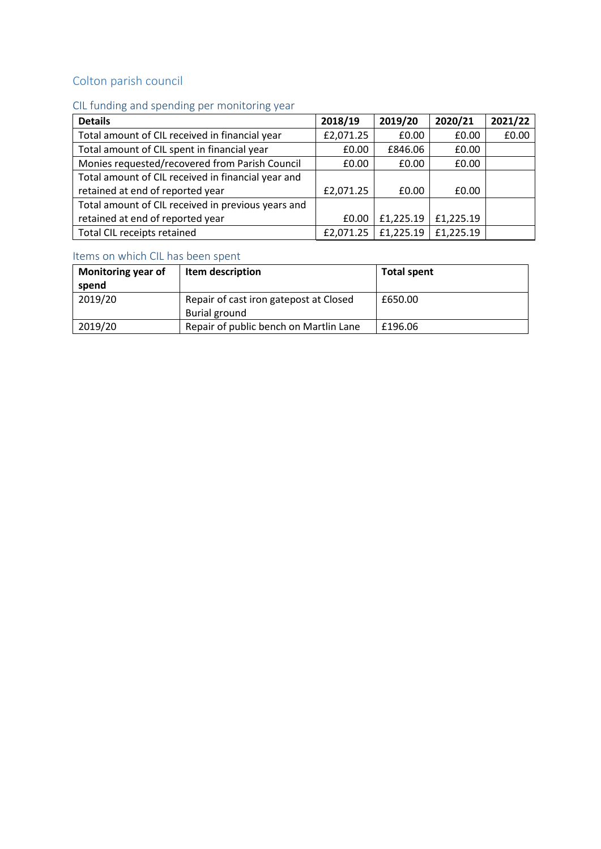## <span id="page-8-0"></span>Colton parish council

## <span id="page-8-1"></span>CIL funding and spending per monitoring year

| <b>Details</b>                                     | 2018/19   | 2019/20   | 2020/21   | 2021/22 |
|----------------------------------------------------|-----------|-----------|-----------|---------|
| Total amount of CIL received in financial year     | £2,071.25 | £0.00     | £0.00     | £0.00   |
| Total amount of CIL spent in financial year        | £0.00     | £846.06   | £0.00     |         |
| Monies requested/recovered from Parish Council     | £0.00     | £0.00     | £0.00     |         |
| Total amount of CIL received in financial year and |           |           |           |         |
| retained at end of reported year                   | £2,071.25 | £0.00     | £0.00     |         |
| Total amount of CIL received in previous years and |           |           |           |         |
| retained at end of reported year                   | £0.00     | £1,225.19 | £1,225.19 |         |
| Total CIL receipts retained                        | £2,071.25 | £1,225.19 | £1,225.19 |         |

<span id="page-8-2"></span>

| Monitoring year of<br>spend | Item description                       | <b>Total spent</b> |
|-----------------------------|----------------------------------------|--------------------|
| 2019/20                     | Repair of cast iron gatepost at Closed | £650.00            |
|                             | Burial ground                          |                    |
| 2019/20                     | Repair of public bench on Martlin Lane | £196.06            |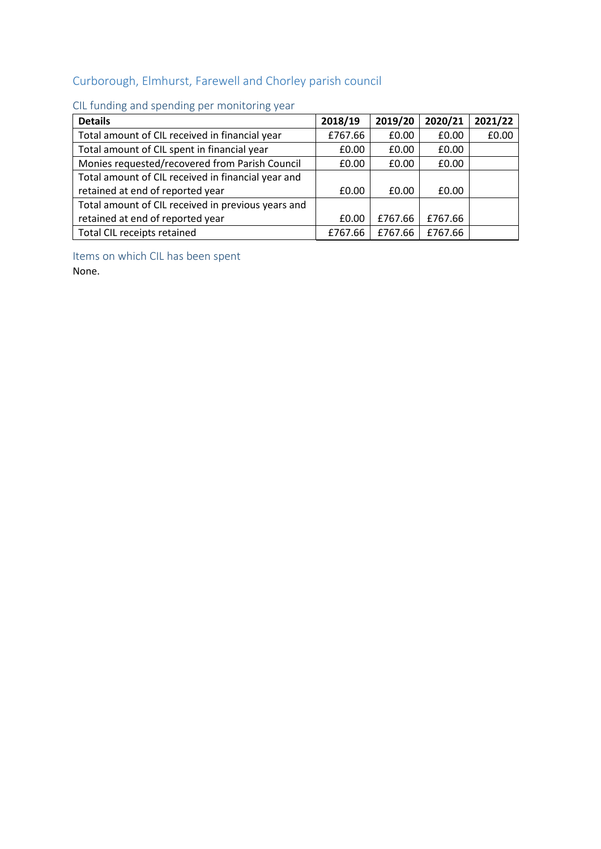# <span id="page-9-0"></span>Curborough, Elmhurst, Farewell and Chorley parish council

| <b>Details</b>                                     | 2018/19 | 2019/20 | 2020/21 | 2021/22 |
|----------------------------------------------------|---------|---------|---------|---------|
| Total amount of CIL received in financial year     | £767.66 | £0.00   | £0.00   | £0.00   |
| Total amount of CIL spent in financial year        | £0.00   | £0.00   | £0.00   |         |
| Monies requested/recovered from Parish Council     | £0.00   | £0.00   | £0.00   |         |
| Total amount of CIL received in financial year and |         |         |         |         |
| retained at end of reported year                   | £0.00   | £0.00   | £0.00   |         |
| Total amount of CIL received in previous years and |         |         |         |         |
| retained at end of reported year                   | £0.00   | £767.66 | £767.66 |         |
| Total CIL receipts retained                        | £767.66 | £767.66 | £767.66 |         |

### <span id="page-9-1"></span>CIL funding and spending per monitoring year

<span id="page-9-2"></span>Items on which CIL has been spent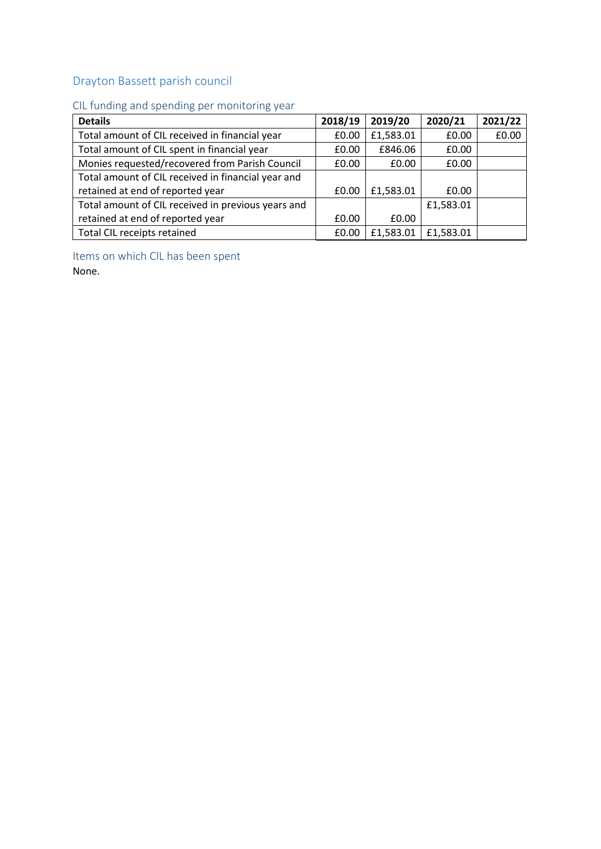## <span id="page-10-0"></span>Drayton Bassett parish council

### <span id="page-10-1"></span>CIL funding and spending per monitoring year

| <b>Details</b>                                     | 2018/19 | 2019/20   | 2020/21   | 2021/22 |
|----------------------------------------------------|---------|-----------|-----------|---------|
| Total amount of CIL received in financial year     | £0.00   | £1,583.01 | £0.00     | £0.00   |
| Total amount of CIL spent in financial year        | £0.00   | £846.06   | £0.00     |         |
| Monies requested/recovered from Parish Council     | £0.00   | £0.00     | £0.00     |         |
| Total amount of CIL received in financial year and |         |           |           |         |
| retained at end of reported year                   | £0.00   | £1,583.01 | £0.00     |         |
| Total amount of CIL received in previous years and |         |           | £1,583.01 |         |
| retained at end of reported year                   | £0.00   | £0.00     |           |         |
| Total CIL receipts retained                        | £0.00   | £1,583.01 | £1,583.01 |         |

<span id="page-10-2"></span>Items on which CIL has been spent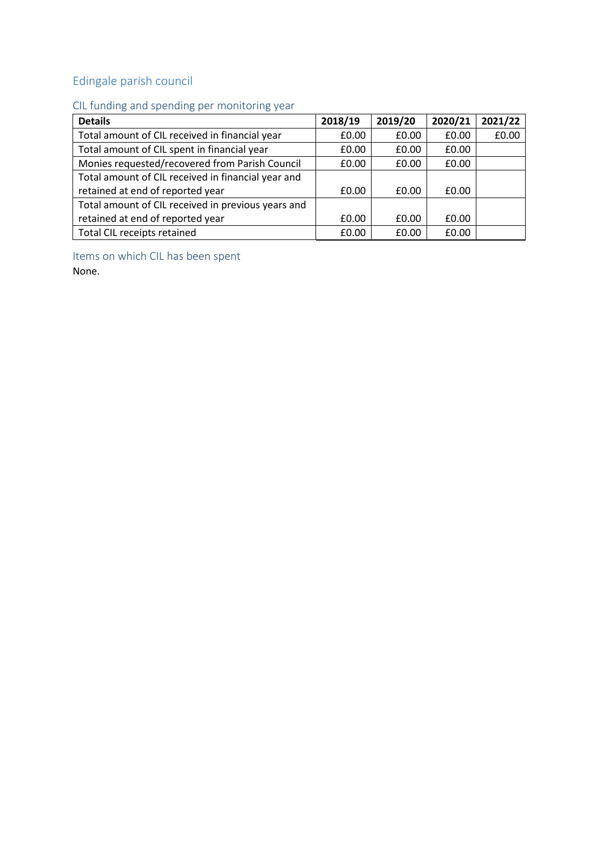# <span id="page-11-0"></span>Edingale parish council

# <span id="page-11-1"></span>CIL funding and spending per monitoring year

| <b>Details</b>                                     | 2018/19 | 2019/20 | 2020/21 | 2021/22 |
|----------------------------------------------------|---------|---------|---------|---------|
| Total amount of CIL received in financial year     | £0.00   | £0.00   | £0.00   | £0.00   |
| Total amount of CIL spent in financial year        | £0.00   | £0.00   | £0.00   |         |
| Monies requested/recovered from Parish Council     | £0.00   | £0.00   | £0.00   |         |
| Total amount of CIL received in financial year and |         |         |         |         |
| retained at end of reported year                   | £0.00   | £0.00   | £0.00   |         |
| Total amount of CIL received in previous years and |         |         |         |         |
| retained at end of reported year                   | £0.00   | £0.00   | £0.00   |         |
| Total CIL receipts retained                        | £0.00   | £0.00   | £0.00   |         |

<span id="page-11-2"></span>Items on which CIL has been spent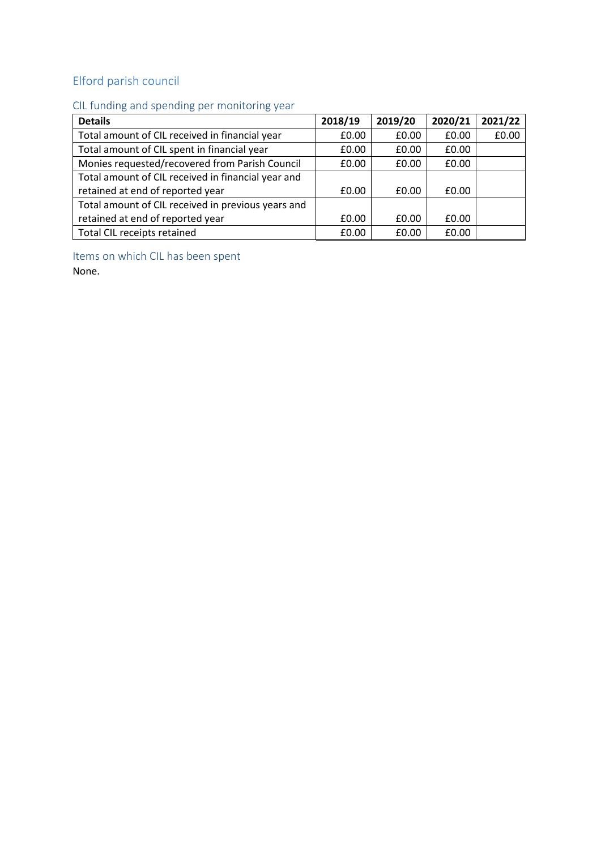# <span id="page-12-0"></span>Elford parish council

### <span id="page-12-1"></span>CIL funding and spending per monitoring year

| <b>Details</b>                                     | 2018/19 | 2019/20 | 2020/21 | 2021/22 |
|----------------------------------------------------|---------|---------|---------|---------|
| Total amount of CIL received in financial year     | £0.00   | £0.00   | £0.00   | £0.00   |
| Total amount of CIL spent in financial year        | £0.00   | £0.00   | £0.00   |         |
| Monies requested/recovered from Parish Council     | £0.00   | £0.00   | £0.00   |         |
| Total amount of CIL received in financial year and |         |         |         |         |
| retained at end of reported year                   | £0.00   | £0.00   | £0.00   |         |
| Total amount of CIL received in previous years and |         |         |         |         |
| retained at end of reported year                   | £0.00   | £0.00   | £0.00   |         |
| Total CIL receipts retained                        | £0.00   | £0.00   | £0.00   |         |

<span id="page-12-2"></span>Items on which CIL has been spent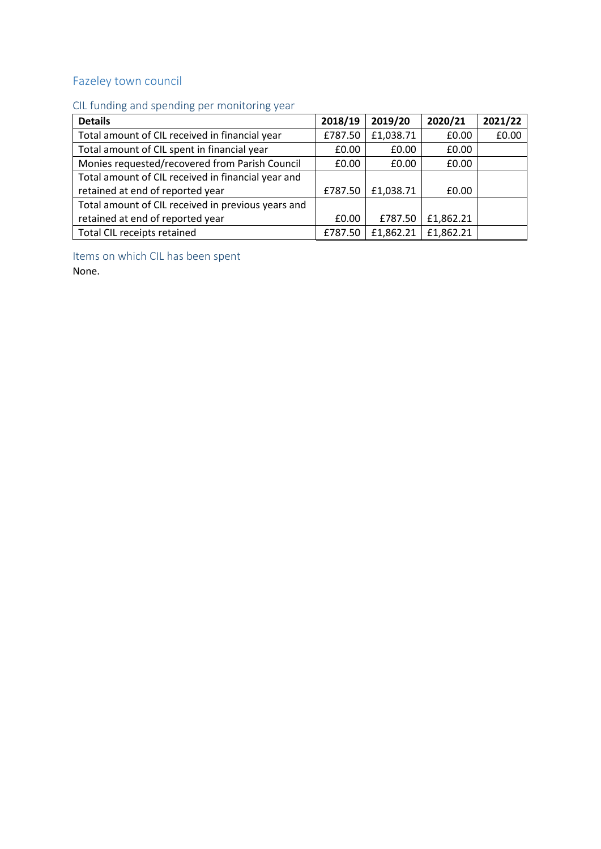## <span id="page-13-0"></span>Fazeley town council

## <span id="page-13-1"></span>CIL funding and spending per monitoring year

| <b>Details</b>                                     | 2018/19 | 2019/20   | 2020/21   | 2021/22 |
|----------------------------------------------------|---------|-----------|-----------|---------|
| Total amount of CIL received in financial year     | £787.50 | £1,038.71 | £0.00     | £0.00   |
| Total amount of CIL spent in financial year        | £0.00   | £0.00     | £0.00     |         |
| Monies requested/recovered from Parish Council     | £0.00   | £0.00     | £0.00     |         |
| Total amount of CIL received in financial year and |         |           |           |         |
| retained at end of reported year                   | £787.50 | £1,038.71 | £0.00     |         |
| Total amount of CIL received in previous years and |         |           |           |         |
| retained at end of reported year                   | £0.00   | £787.50   | £1,862.21 |         |
| Total CIL receipts retained                        | £787.50 | £1,862.21 | £1,862.21 |         |

<span id="page-13-2"></span>Items on which CIL has been spent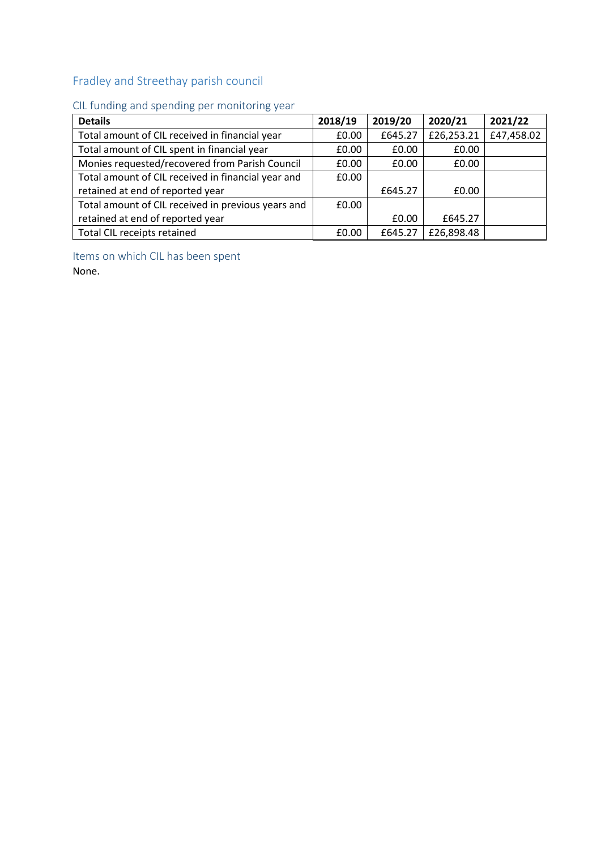## <span id="page-14-0"></span>Fradley and Streethay parish council

### <span id="page-14-1"></span>CIL funding and spending per monitoring year

| <b>Details</b>                                     | 2018/19 | 2019/20 | 2020/21    | 2021/22    |
|----------------------------------------------------|---------|---------|------------|------------|
| Total amount of CIL received in financial year     | £0.00   | £645.27 | £26,253.21 | £47,458.02 |
| Total amount of CIL spent in financial year        | £0.00   | £0.00   | £0.00      |            |
| Monies requested/recovered from Parish Council     | £0.00   | £0.00   | £0.00      |            |
| Total amount of CIL received in financial year and | £0.00   |         |            |            |
| retained at end of reported year                   |         | £645.27 | £0.00      |            |
| Total amount of CIL received in previous years and | £0.00   |         |            |            |
| retained at end of reported year                   |         | £0.00   | £645.27    |            |
| Total CIL receipts retained                        | £0.00   | £645.27 | £26,898.48 |            |

<span id="page-14-2"></span>Items on which CIL has been spent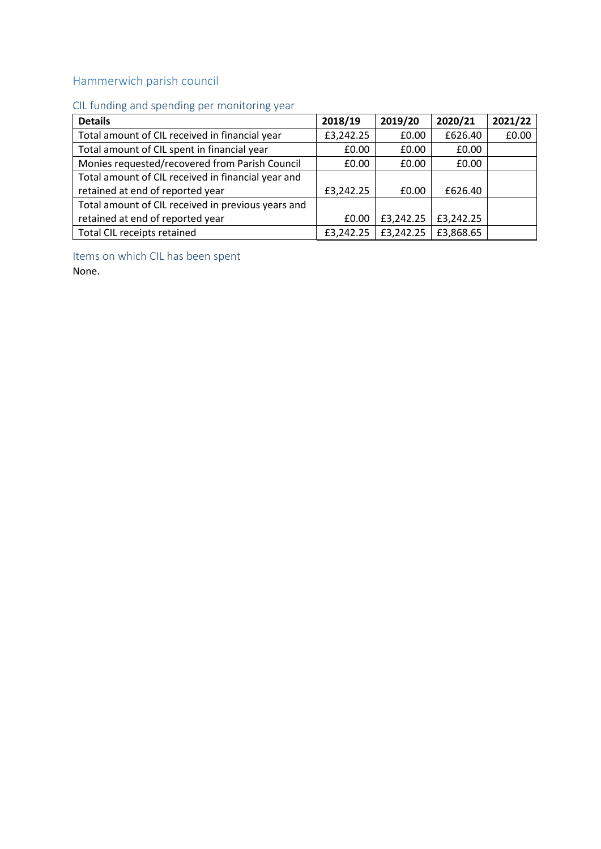## <span id="page-15-0"></span>Hammerwich parish council

## <span id="page-15-1"></span>CIL funding and spending per monitoring year

| <b>Details</b>                                     | 2018/19   | 2019/20   | 2020/21   | 2021/22 |
|----------------------------------------------------|-----------|-----------|-----------|---------|
| Total amount of CIL received in financial year     | £3,242.25 | £0.00     | £626.40   | £0.00   |
| Total amount of CIL spent in financial year        | £0.00     | £0.00     | £0.00     |         |
| Monies requested/recovered from Parish Council     | £0.00     | £0.00     | £0.00     |         |
| Total amount of CIL received in financial year and |           |           |           |         |
| retained at end of reported year                   | £3,242.25 | £0.00     | £626.40   |         |
| Total amount of CIL received in previous years and |           |           |           |         |
| retained at end of reported year                   | £0.00     | £3,242.25 | £3,242.25 |         |
| Total CIL receipts retained                        | £3,242.25 | £3,242.25 | £3,868.65 |         |

<span id="page-15-2"></span>Items on which CIL has been spent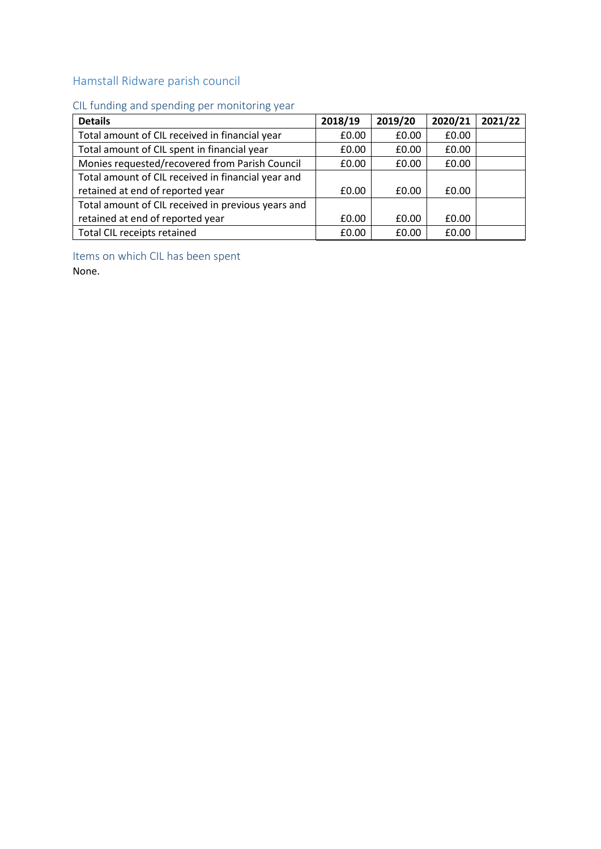### <span id="page-16-0"></span>Hamstall Ridware parish council

### <span id="page-16-1"></span>CIL funding and spending per monitoring year

| <b>Details</b>                                     | 2018/19 | 2019/20 | 2020/21 | 2021/22 |
|----------------------------------------------------|---------|---------|---------|---------|
| Total amount of CIL received in financial year     | £0.00   | £0.00   | £0.00   |         |
| Total amount of CIL spent in financial year        | £0.00   | £0.00   | £0.00   |         |
| Monies requested/recovered from Parish Council     | £0.00   | £0.00   | £0.00   |         |
| Total amount of CIL received in financial year and |         |         |         |         |
| retained at end of reported year                   | £0.00   | £0.00   | £0.00   |         |
| Total amount of CIL received in previous years and |         |         |         |         |
| retained at end of reported year                   | £0.00   | £0.00   | £0.00   |         |
| Total CIL receipts retained                        | £0.00   | £0.00   | £0.00   |         |

<span id="page-16-2"></span>Items on which CIL has been spent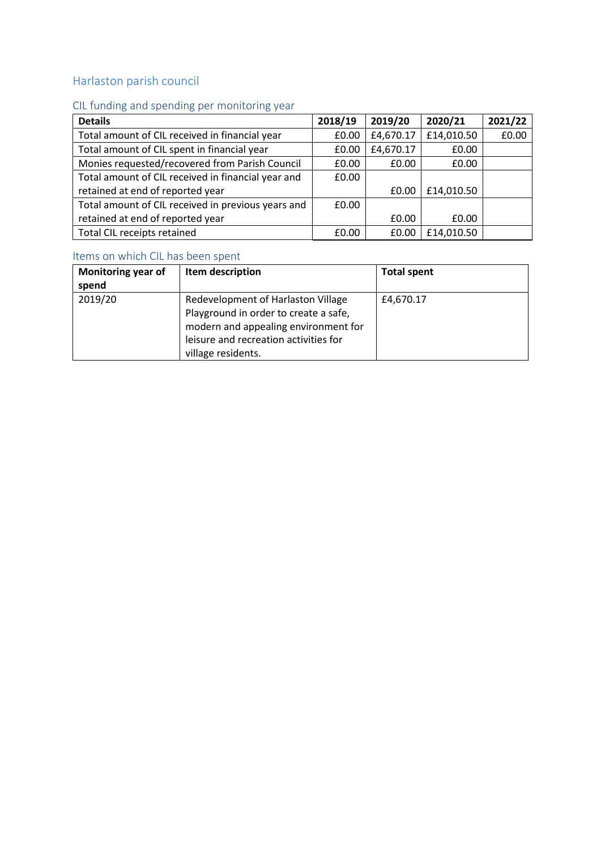## <span id="page-17-0"></span>Harlaston parish council

### <span id="page-17-1"></span>CIL funding and spending per monitoring year

| <b>Details</b>                                     | 2018/19 | 2019/20   | 2020/21    | 2021/22 |
|----------------------------------------------------|---------|-----------|------------|---------|
| Total amount of CIL received in financial year     | £0.00   | £4,670.17 | £14,010.50 | £0.00   |
| Total amount of CIL spent in financial year        | £0.00   | £4,670.17 | £0.00      |         |
| Monies requested/recovered from Parish Council     | £0.00   | £0.00     | £0.00      |         |
| Total amount of CIL received in financial year and | £0.00   |           |            |         |
| retained at end of reported year                   |         | £0.00     | £14,010.50 |         |
| Total amount of CIL received in previous years and | £0.00   |           |            |         |
| retained at end of reported year                   |         | £0.00     | £0.00      |         |
| Total CIL receipts retained                        | £0.00   | £0.00     | £14,010.50 |         |

<span id="page-17-2"></span>

| <b>Monitoring year of</b><br>spend | Item description                                                                                                                                                                   | <b>Total spent</b> |
|------------------------------------|------------------------------------------------------------------------------------------------------------------------------------------------------------------------------------|--------------------|
| 2019/20                            | Redevelopment of Harlaston Village<br>Playground in order to create a safe,<br>modern and appealing environment for<br>leisure and recreation activities for<br>village residents. | £4,670.17          |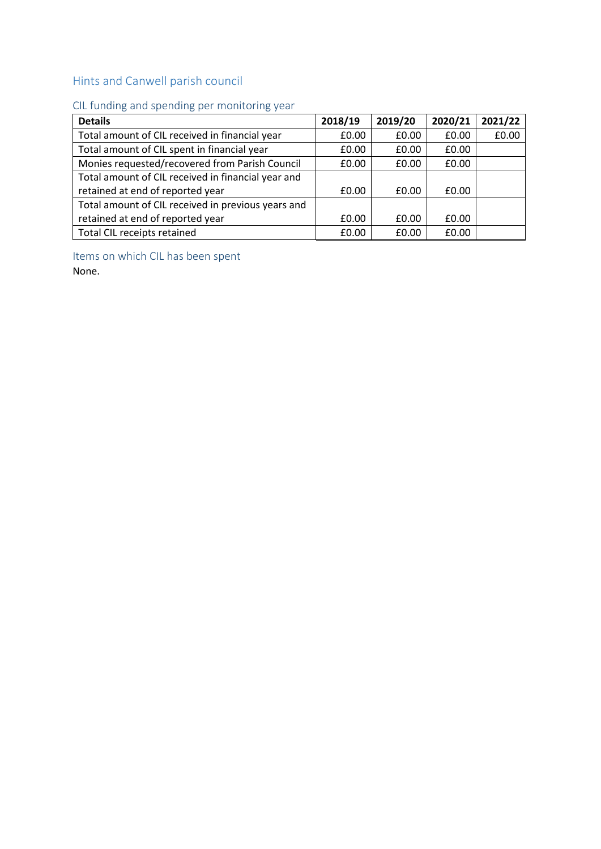## <span id="page-18-0"></span>Hints and Canwell parish council

# <span id="page-18-1"></span>CIL funding and spending per monitoring year

| <b>Details</b>                                     | 2018/19 | 2019/20 | 2020/21 | 2021/22 |
|----------------------------------------------------|---------|---------|---------|---------|
| Total amount of CIL received in financial year     | £0.00   | £0.00   | £0.00   | £0.00   |
| Total amount of CIL spent in financial year        | £0.00   | £0.00   | £0.00   |         |
| Monies requested/recovered from Parish Council     | £0.00   | £0.00   | £0.00   |         |
| Total amount of CIL received in financial year and |         |         |         |         |
| retained at end of reported year                   | £0.00   | £0.00   | £0.00   |         |
| Total amount of CIL received in previous years and |         |         |         |         |
| retained at end of reported year                   | £0.00   | £0.00   | £0.00   |         |
| Total CIL receipts retained                        | £0.00   | £0.00   | £0.00   |         |

<span id="page-18-2"></span>Items on which CIL has been spent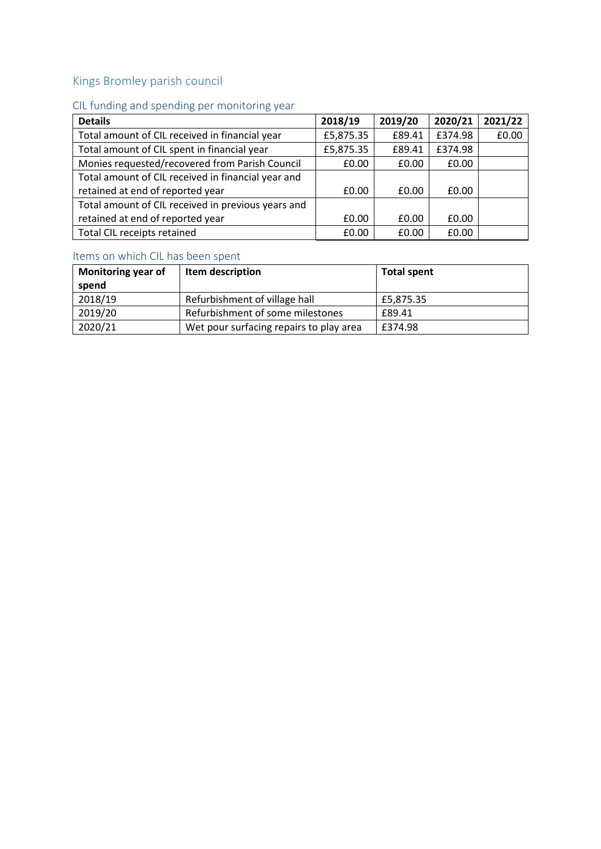## <span id="page-19-0"></span>Kings Bromley parish council

## <span id="page-19-1"></span>CIL funding and spending per monitoring year

| <b>Details</b>                                     | 2018/19   | 2019/20 | 2020/21 | 2021/22 |
|----------------------------------------------------|-----------|---------|---------|---------|
| Total amount of CIL received in financial year     | £5,875.35 | £89.41  | £374.98 | £0.00   |
| Total amount of CIL spent in financial year        | £5,875.35 | £89.41  | £374.98 |         |
| Monies requested/recovered from Parish Council     | £0.00     | £0.00   | £0.00   |         |
| Total amount of CIL received in financial year and |           |         |         |         |
| retained at end of reported year                   | £0.00     | £0.00   | £0.00   |         |
| Total amount of CIL received in previous years and |           |         |         |         |
| retained at end of reported year                   | £0.00     | £0.00   | £0.00   |         |
| Total CIL receipts retained                        | £0.00     | £0.00   | £0.00   |         |

<span id="page-19-2"></span>

| Monitoring year of<br>spend | Item description                        | <b>Total spent</b> |
|-----------------------------|-----------------------------------------|--------------------|
| 2018/19                     | Refurbishment of village hall           | £5,875.35          |
| 2019/20                     | Refurbishment of some milestones        | £89.41             |
| 2020/21                     | Wet pour surfacing repairs to play area | £374.98            |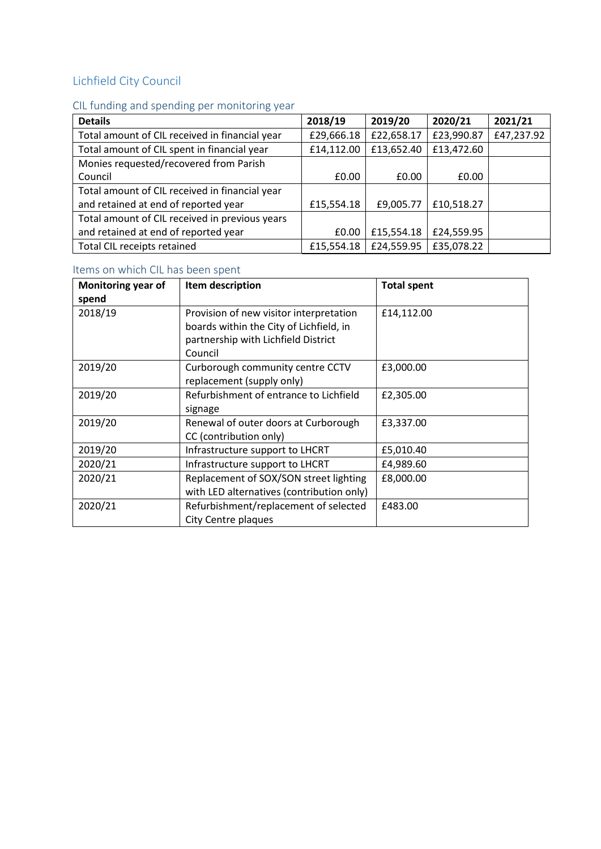# <span id="page-20-0"></span>Lichfield City Council

# <span id="page-20-1"></span>CIL funding and spending per monitoring year

| <b>Details</b>                                 | 2018/19    | 2019/20    | 2020/21    | 2021/21    |
|------------------------------------------------|------------|------------|------------|------------|
| Total amount of CIL received in financial year | £29,666.18 | £22,658.17 | £23,990.87 | £47,237.92 |
| Total amount of CIL spent in financial year    | £14,112.00 | £13,652.40 | £13,472.60 |            |
| Monies requested/recovered from Parish         |            |            |            |            |
| Council                                        | £0.00      | £0.00      | £0.00      |            |
| Total amount of CIL received in financial year |            |            |            |            |
| and retained at end of reported year           | £15,554.18 | £9,005.77  | £10,518.27 |            |
| Total amount of CIL received in previous years |            |            |            |            |
| and retained at end of reported year           | £0.00      | £15,554.18 | £24,559.95 |            |
| Total CIL receipts retained                    | £15,554.18 | £24,559.95 | £35,078.22 |            |

<span id="page-20-2"></span>

| Monitoring year of | Item description                          | <b>Total spent</b> |
|--------------------|-------------------------------------------|--------------------|
| spend              |                                           |                    |
| 2018/19            | Provision of new visitor interpretation   | £14,112.00         |
|                    | boards within the City of Lichfield, in   |                    |
|                    | partnership with Lichfield District       |                    |
|                    | Council                                   |                    |
| 2019/20            | Curborough community centre CCTV          | £3,000.00          |
|                    | replacement (supply only)                 |                    |
| 2019/20            | Refurbishment of entrance to Lichfield    | £2,305.00          |
|                    | signage                                   |                    |
| 2019/20            | Renewal of outer doors at Curborough      | £3,337.00          |
|                    | CC (contribution only)                    |                    |
| 2019/20            | Infrastructure support to LHCRT           | £5,010.40          |
| 2020/21            | Infrastructure support to LHCRT           | £4,989.60          |
| 2020/21            | Replacement of SOX/SON street lighting    | £8,000.00          |
|                    | with LED alternatives (contribution only) |                    |
| 2020/21            | Refurbishment/replacement of selected     | £483.00            |
|                    | City Centre plaques                       |                    |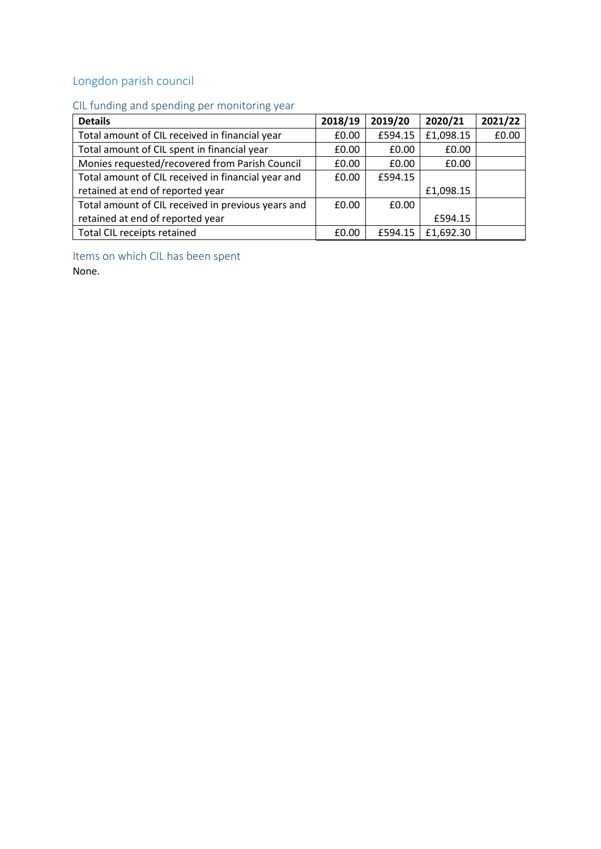# <span id="page-21-0"></span>Longdon parish council

### <span id="page-21-1"></span>CIL funding and spending per monitoring year

| <b>Details</b>                                     | 2018/19 | 2019/20 | 2020/21   | 2021/22 |
|----------------------------------------------------|---------|---------|-----------|---------|
| Total amount of CIL received in financial year     | £0.00   | £594.15 | £1,098.15 | £0.00   |
| Total amount of CIL spent in financial year        | £0.00   | £0.00   | £0.00     |         |
| Monies requested/recovered from Parish Council     | £0.00   | £0.00   | £0.00     |         |
| Total amount of CIL received in financial year and | £0.00   | £594.15 |           |         |
| retained at end of reported year                   |         |         | £1,098.15 |         |
| Total amount of CIL received in previous years and | £0.00   | £0.00   |           |         |
| retained at end of reported year                   |         |         | £594.15   |         |
| Total CIL receipts retained                        | £0.00   | £594.15 | £1,692.30 |         |

<span id="page-21-2"></span>Items on which CIL has been spent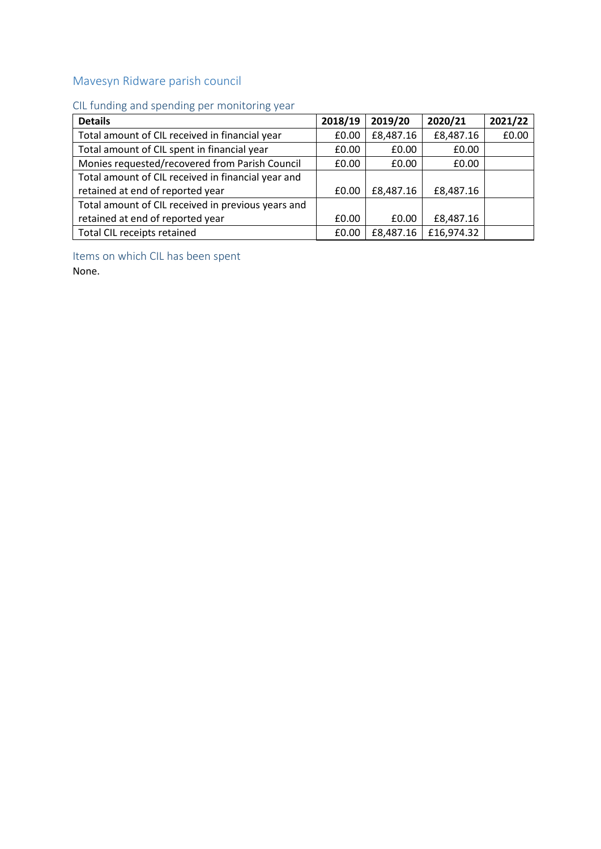### <span id="page-22-0"></span>Mavesyn Ridware parish council

# <span id="page-22-1"></span>CIL funding and spending per monitoring year

| <b>Details</b>                                     | 2018/19 | 2019/20   | 2020/21    | 2021/22 |
|----------------------------------------------------|---------|-----------|------------|---------|
| Total amount of CIL received in financial year     | £0.00   | £8,487.16 | £8,487.16  | £0.00   |
| Total amount of CIL spent in financial year        | £0.00   | £0.00     | £0.00      |         |
| Monies requested/recovered from Parish Council     | £0.00   | £0.00     | £0.00      |         |
| Total amount of CIL received in financial year and |         |           |            |         |
| retained at end of reported year                   | £0.00   | £8,487.16 | £8,487.16  |         |
| Total amount of CIL received in previous years and |         |           |            |         |
| retained at end of reported year                   | £0.00   | £0.00     | £8,487.16  |         |
| Total CIL receipts retained                        | £0.00   | £8,487.16 | £16,974.32 |         |

<span id="page-22-2"></span>Items on which CIL has been spent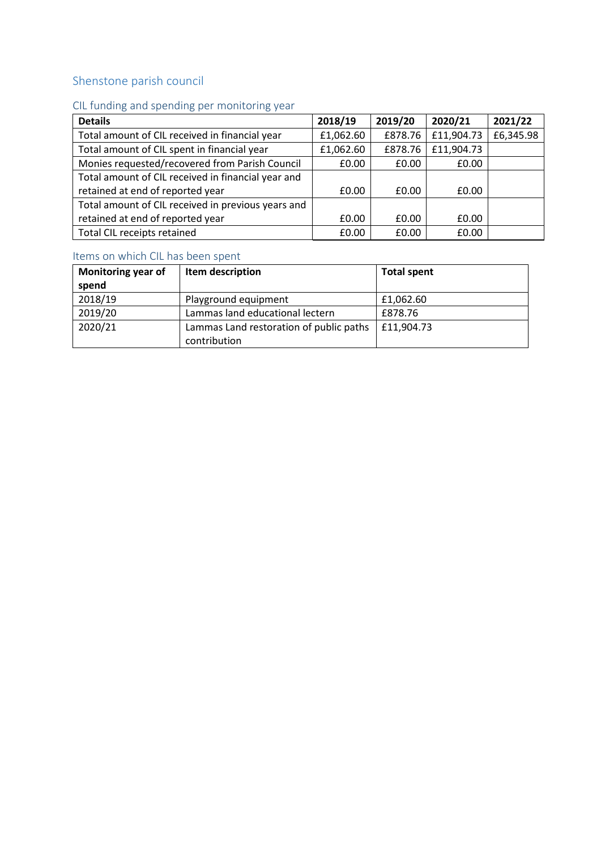### <span id="page-23-0"></span>Shenstone parish council

### <span id="page-23-1"></span>CIL funding and spending per monitoring year

| <b>Details</b>                                     | 2018/19   | 2019/20 | 2020/21    | 2021/22   |
|----------------------------------------------------|-----------|---------|------------|-----------|
| Total amount of CIL received in financial year     | £1,062.60 | £878.76 | £11,904.73 | £6,345.98 |
| Total amount of CIL spent in financial year        | £1,062.60 | £878.76 | £11,904.73 |           |
| Monies requested/recovered from Parish Council     | £0.00     | £0.00   | £0.00      |           |
| Total amount of CIL received in financial year and |           |         |            |           |
| retained at end of reported year                   | £0.00     | £0.00   | £0.00      |           |
| Total amount of CIL received in previous years and |           |         |            |           |
| retained at end of reported year                   | £0.00     | £0.00   | £0.00      |           |
| Total CIL receipts retained                        | £0.00     | £0.00   | £0.00      |           |

<span id="page-23-2"></span>

| <b>Monitoring year of</b><br>spend | Item description                                        | <b>Total spent</b> |
|------------------------------------|---------------------------------------------------------|--------------------|
| 2018/19                            | Playground equipment                                    | £1,062.60          |
| 2019/20                            | Lammas land educational lectern                         | £878.76            |
| 2020/21                            | Lammas Land restoration of public paths<br>contribution | £11,904.73         |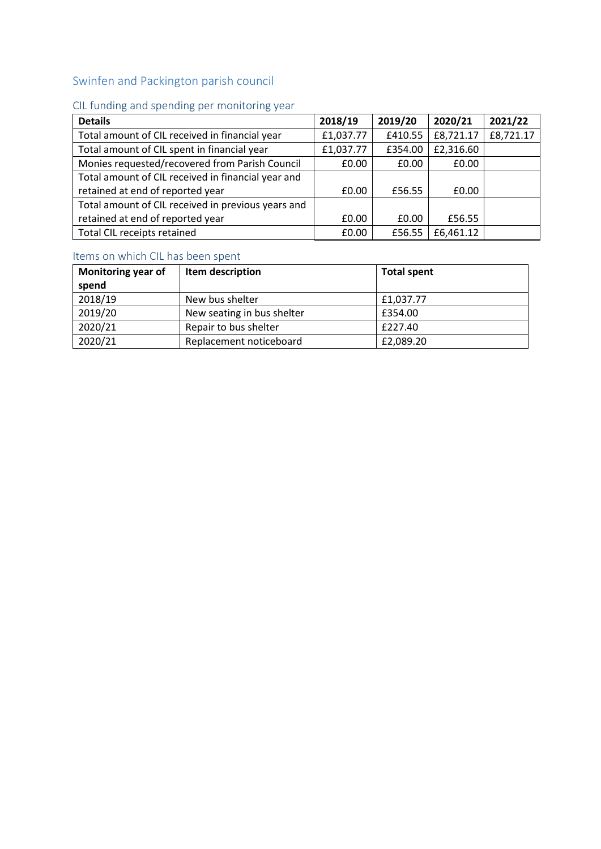## <span id="page-24-0"></span>Swinfen and Packington parish council

## <span id="page-24-1"></span>CIL funding and spending per monitoring year

| <b>Details</b>                                     | 2018/19   | 2019/20 | 2020/21   | 2021/22   |
|----------------------------------------------------|-----------|---------|-----------|-----------|
| Total amount of CIL received in financial year     | £1,037.77 | £410.55 | £8,721.17 | £8,721.17 |
| Total amount of CIL spent in financial year        | £1,037.77 | £354.00 | £2,316.60 |           |
| Monies requested/recovered from Parish Council     | £0.00     | £0.00   | £0.00     |           |
| Total amount of CIL received in financial year and |           |         |           |           |
| retained at end of reported year                   | £0.00     | £56.55  | £0.00     |           |
| Total amount of CIL received in previous years and |           |         |           |           |
| retained at end of reported year                   | £0.00     | £0.00   | £56.55    |           |
| Total CIL receipts retained                        | £0.00     | £56.55  | £6,461.12 |           |

<span id="page-24-2"></span>

| Monitoring year of<br>spend | Item description           | <b>Total spent</b> |
|-----------------------------|----------------------------|--------------------|
| 2018/19                     | New bus shelter            | £1,037.77          |
| 2019/20                     | New seating in bus shelter | £354.00            |
| 2020/21                     | Repair to bus shelter      | £227.40            |
| 2020/21                     | Replacement noticeboard    | £2,089.20          |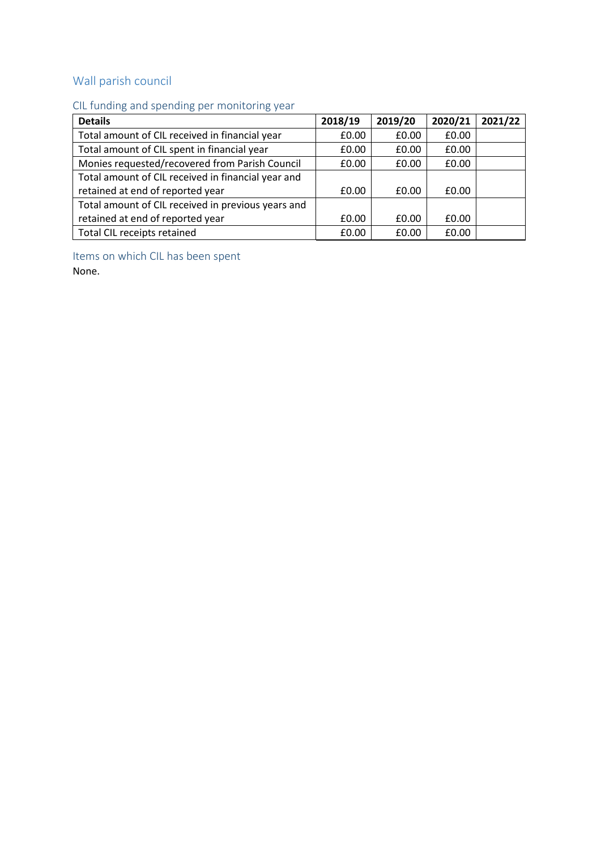## <span id="page-25-0"></span>Wall parish council

### <span id="page-25-1"></span>CIL funding and spending per monitoring year

| <b>Details</b>                                     | 2018/19 | 2019/20 | 2020/21 | 2021/22 |
|----------------------------------------------------|---------|---------|---------|---------|
| Total amount of CIL received in financial year     | £0.00   | £0.00   | £0.00   |         |
| Total amount of CIL spent in financial year        | £0.00   | £0.00   | £0.00   |         |
| Monies requested/recovered from Parish Council     | £0.00   | £0.00   | £0.00   |         |
| Total amount of CIL received in financial year and |         |         |         |         |
| retained at end of reported year                   | £0.00   | £0.00   | £0.00   |         |
| Total amount of CIL received in previous years and |         |         |         |         |
| retained at end of reported year                   | £0.00   | £0.00   | £0.00   |         |
| Total CIL receipts retained                        | £0.00   | £0.00   | £0.00   |         |

<span id="page-25-2"></span>Items on which CIL has been spent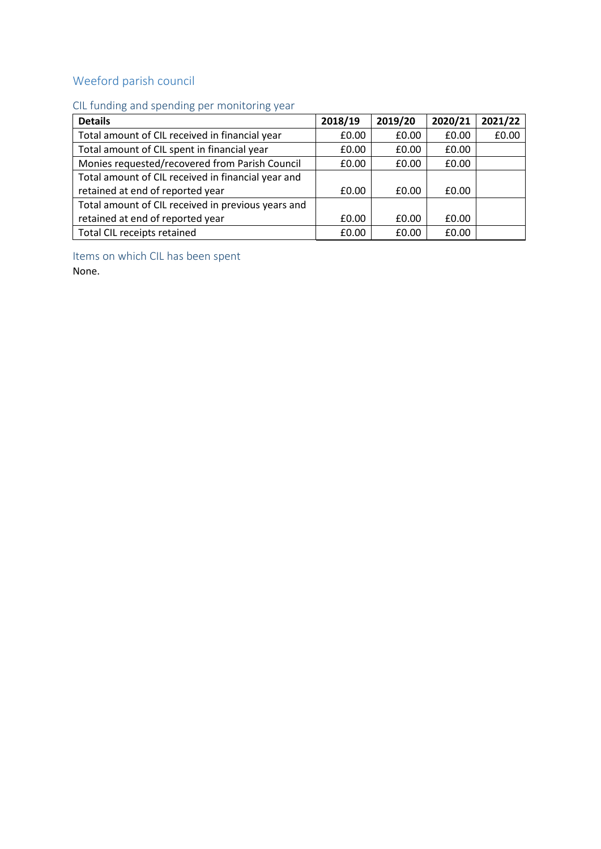# <span id="page-26-0"></span>Weeford parish council

### <span id="page-26-1"></span>CIL funding and spending per monitoring year

| <b>Details</b>                                     | 2018/19 | 2019/20 | 2020/21 | 2021/22 |
|----------------------------------------------------|---------|---------|---------|---------|
| Total amount of CIL received in financial year     | £0.00   | £0.00   | £0.00   | £0.00   |
| Total amount of CIL spent in financial year        | £0.00   | £0.00   | £0.00   |         |
| Monies requested/recovered from Parish Council     | £0.00   | £0.00   | £0.00   |         |
| Total amount of CIL received in financial year and |         |         |         |         |
| retained at end of reported year                   | £0.00   | £0.00   | £0.00   |         |
| Total amount of CIL received in previous years and |         |         |         |         |
| retained at end of reported year                   | £0.00   | £0.00   | £0.00   |         |
| Total CIL receipts retained                        | £0.00   | £0.00   | £0.00   |         |

<span id="page-26-2"></span>Items on which CIL has been spent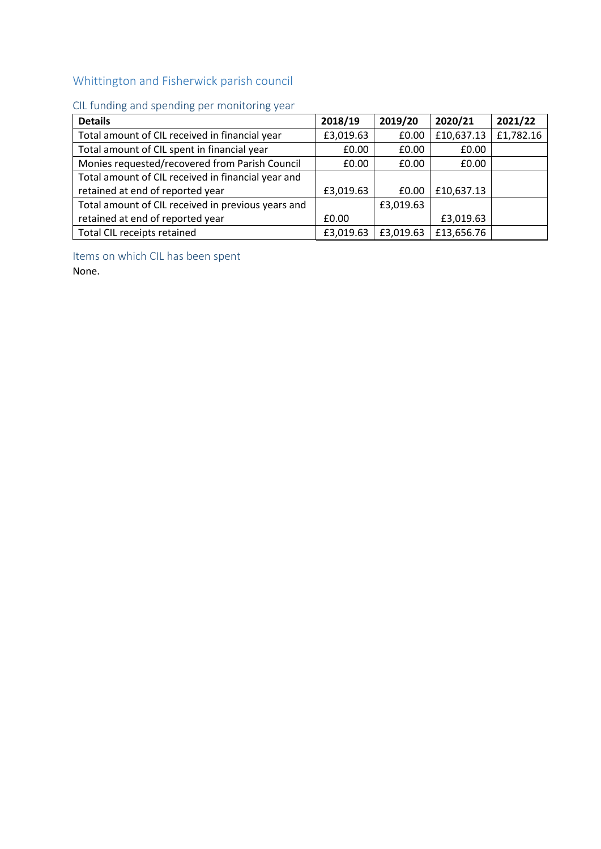## <span id="page-27-0"></span>Whittington and Fisherwick parish council

### <span id="page-27-1"></span>CIL funding and spending per monitoring year

| <b>Details</b>                                     | 2018/19   | 2019/20   | 2020/21    | 2021/22   |
|----------------------------------------------------|-----------|-----------|------------|-----------|
| Total amount of CIL received in financial year     | £3,019.63 | £0.00     | £10,637.13 | £1,782.16 |
| Total amount of CIL spent in financial year        | £0.00     | £0.00     | £0.00      |           |
| Monies requested/recovered from Parish Council     | £0.00     | £0.00     | £0.00      |           |
| Total amount of CIL received in financial year and |           |           |            |           |
| retained at end of reported year                   | £3,019.63 | £0.00     | £10,637.13 |           |
| Total amount of CIL received in previous years and |           | £3,019.63 |            |           |
| retained at end of reported year                   | £0.00     |           | £3,019.63  |           |
| Total CIL receipts retained                        | £3,019.63 | £3,019.63 | £13,656.76 |           |

<span id="page-27-2"></span>Items on which CIL has been spent